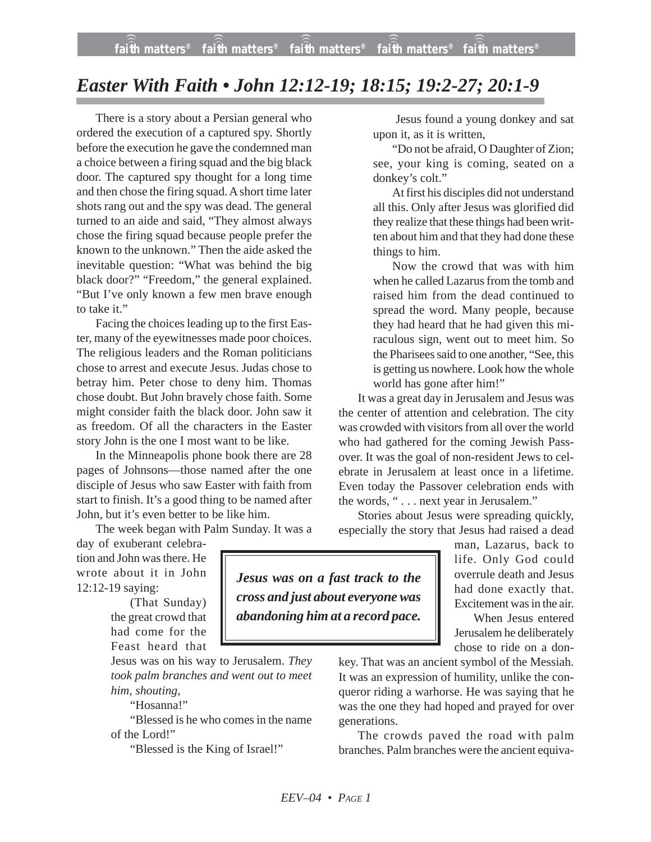## *Easter With Faith • John 12:12-19; 18:15; 19:2-27; 20:1-9*

There is a story about a Persian general who ordered the execution of a captured spy. Shortly before the execution he gave the condemned man a choice between a firing squad and the big black door. The captured spy thought for a long time and then chose the firing squad. A short time later shots rang out and the spy was dead. The general turned to an aide and said, "They almost always chose the firing squad because people prefer the known to the unknown." Then the aide asked the inevitable question: "What was behind the big black door?" "Freedom," the general explained. "But I've only known a few men brave enough to take it."

Facing the choices leading up to the first Easter, many of the eyewitnesses made poor choices. The religious leaders and the Roman politicians chose to arrest and execute Jesus. Judas chose to betray him. Peter chose to deny him. Thomas chose doubt. But John bravely chose faith. Some might consider faith the black door. John saw it as freedom. Of all the characters in the Easter story John is the one I most want to be like.

In the Minneapolis phone book there are 28 pages of Johnsons—those named after the one disciple of Jesus who saw Easter with faith from start to finish. It's a good thing to be named after John, but it's even better to be like him.

The week began with Palm Sunday. It was a

day of exuberant celebration and John was there. He wrote about it in John 12:12-19 saying:

(That Sunday) the great crowd that had come for the Feast heard that

Jesus was on his way to Jerusalem. *They took palm branches and went out to meet him, shouting,*

"Hosanna!"

"Blessed is he who comes in the name of the Lord!"

"Blessed is the King of Israel!"

*Jesus was on a fast track to the cross and just about everyone was abandoning him at a record pace.*

Jesus found a young donkey and sat upon it, as it is written,

"Do not be afraid, O Daughter of Zion; see, your king is coming, seated on a donkey's colt."

At first his disciples did not understand all this. Only after Jesus was glorified did they realize that these things had been written about him and that they had done these things to him.

Now the crowd that was with him when he called Lazarus from the tomb and raised him from the dead continued to spread the word. Many people, because they had heard that he had given this miraculous sign, went out to meet him. So the Pharisees said to one another, "See, this is getting us nowhere. Look how the whole world has gone after him!"

It was a great day in Jerusalem and Jesus was the center of attention and celebration. The city was crowded with visitors from all over the world who had gathered for the coming Jewish Passover. It was the goal of non-resident Jews to celebrate in Jerusalem at least once in a lifetime. Even today the Passover celebration ends with the words, " . . . next year in Jerusalem."

Stories about Jesus were spreading quickly, especially the story that Jesus had raised a dead

> man, Lazarus, back to life. Only God could overrule death and Jesus had done exactly that. Excitement was in the air.

> When Jesus entered Jerusalem he deliberately chose to ride on a don-

key. That was an ancient symbol of the Messiah. It was an expression of humility, unlike the conqueror riding a warhorse. He was saying that he was the one they had hoped and prayed for over generations.

The crowds paved the road with palm branches. Palm branches were the ancient equiva-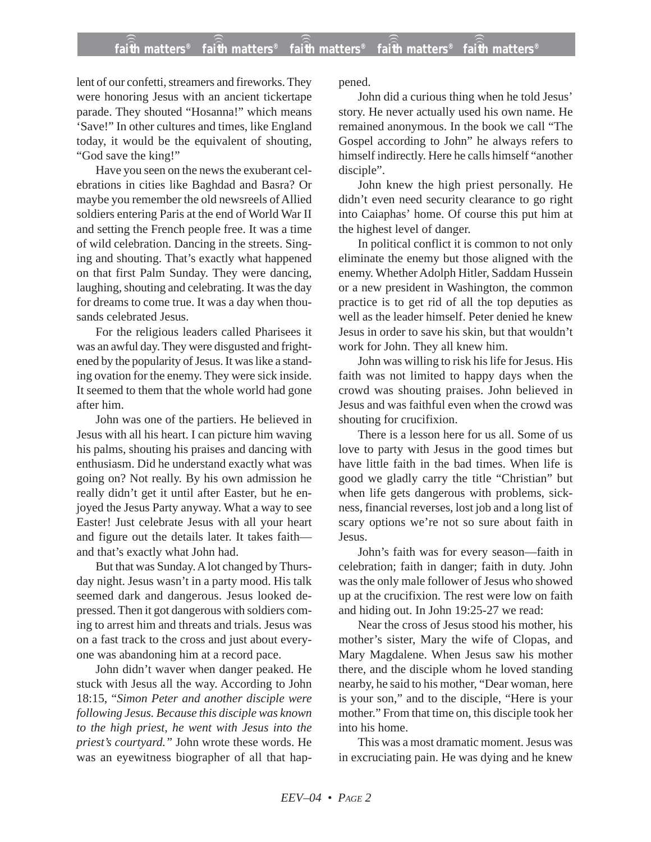lent of our confetti, streamers and fireworks. They were honoring Jesus with an ancient tickertape parade. They shouted "Hosanna!" which means 'Save!" In other cultures and times, like England today, it would be the equivalent of shouting, "God save the king!"

Have you seen on the news the exuberant celebrations in cities like Baghdad and Basra? Or maybe you remember the old newsreels of Allied soldiers entering Paris at the end of World War II and setting the French people free. It was a time of wild celebration. Dancing in the streets. Singing and shouting. That's exactly what happened on that first Palm Sunday. They were dancing, laughing, shouting and celebrating. It was the day for dreams to come true. It was a day when thousands celebrated Jesus.

For the religious leaders called Pharisees it was an awful day. They were disgusted and frightened by the popularity of Jesus. It was like a standing ovation for the enemy. They were sick inside. It seemed to them that the whole world had gone after him.

John was one of the partiers. He believed in Jesus with all his heart. I can picture him waving his palms, shouting his praises and dancing with enthusiasm. Did he understand exactly what was going on? Not really. By his own admission he really didn't get it until after Easter, but he enjoyed the Jesus Party anyway. What a way to see Easter! Just celebrate Jesus with all your heart and figure out the details later. It takes faith and that's exactly what John had.

But that was Sunday. A lot changed by Thursday night. Jesus wasn't in a party mood. His talk seemed dark and dangerous. Jesus looked depressed. Then it got dangerous with soldiers coming to arrest him and threats and trials. Jesus was on a fast track to the cross and just about everyone was abandoning him at a record pace.

John didn't waver when danger peaked. He stuck with Jesus all the way. According to John 18:15, "*Simon Peter and another disciple were following Jesus. Because this disciple was known to the high priest, he went with Jesus into the priest's courtyard."* John wrote these words. He was an eyewitness biographer of all that happened.

John did a curious thing when he told Jesus' story. He never actually used his own name. He remained anonymous. In the book we call "The Gospel according to John" he always refers to himself indirectly. Here he calls himself "another disciple".

John knew the high priest personally. He didn't even need security clearance to go right into Caiaphas' home. Of course this put him at the highest level of danger.

In political conflict it is common to not only eliminate the enemy but those aligned with the enemy. Whether Adolph Hitler, Saddam Hussein or a new president in Washington, the common practice is to get rid of all the top deputies as well as the leader himself. Peter denied he knew Jesus in order to save his skin, but that wouldn't work for John. They all knew him.

John was willing to risk his life for Jesus. His faith was not limited to happy days when the crowd was shouting praises. John believed in Jesus and was faithful even when the crowd was shouting for crucifixion.

There is a lesson here for us all. Some of us love to party with Jesus in the good times but have little faith in the bad times. When life is good we gladly carry the title "Christian" but when life gets dangerous with problems, sickness, financial reverses, lost job and a long list of scary options we're not so sure about faith in Jesus.

John's faith was for every season—faith in celebration; faith in danger; faith in duty. John was the only male follower of Jesus who showed up at the crucifixion. The rest were low on faith and hiding out. In John 19:25-27 we read:

Near the cross of Jesus stood his mother, his mother's sister, Mary the wife of Clopas, and Mary Magdalene. When Jesus saw his mother there, and the disciple whom he loved standing nearby, he said to his mother, "Dear woman, here is your son," and to the disciple, "Here is your mother." From that time on, this disciple took her into his home.

This was a most dramatic moment. Jesus was in excruciating pain. He was dying and he knew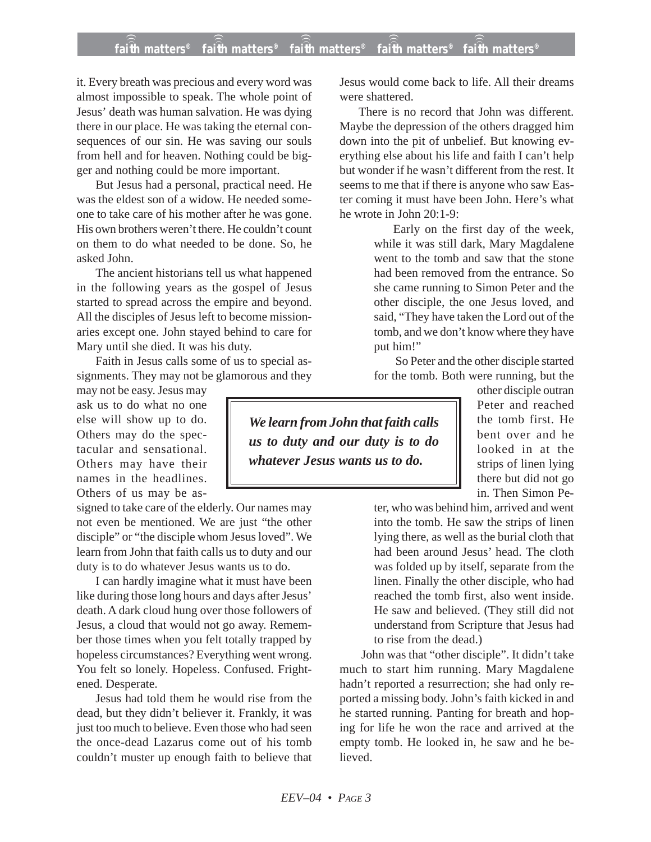it. Every breath was precious and every word was almost impossible to speak. The whole point of Jesus' death was human salvation. He was dying there in our place. He was taking the eternal consequences of our sin. He was saving our souls from hell and for heaven. Nothing could be bigger and nothing could be more important.

But Jesus had a personal, practical need. He was the eldest son of a widow. He needed someone to take care of his mother after he was gone. His own brothers weren't there. He couldn't count on them to do what needed to be done. So, he asked John.

The ancient historians tell us what happened in the following years as the gospel of Jesus started to spread across the empire and beyond. All the disciples of Jesus left to become missionaries except one. John stayed behind to care for Mary until she died. It was his duty.

Faith in Jesus calls some of us to special assignments. They may not be glamorous and they

may not be easy. Jesus may ask us to do what no one else will show up to do. Others may do the spectacular and sensational. Others may have their names in the headlines. Others of us may be as-

signed to take care of the elderly. Our names may not even be mentioned. We are just "the other disciple" or "the disciple whom Jesus loved". We learn from John that faith calls us to duty and our duty is to do whatever Jesus wants us to do.

I can hardly imagine what it must have been like during those long hours and days after Jesus' death. A dark cloud hung over those followers of Jesus, a cloud that would not go away. Remember those times when you felt totally trapped by hopeless circumstances? Everything went wrong. You felt so lonely. Hopeless. Confused. Frightened. Desperate.

Jesus had told them he would rise from the dead, but they didn't believer it. Frankly, it was just too much to believe. Even those who had seen the once-dead Lazarus come out of his tomb couldn't muster up enough faith to believe that Jesus would come back to life. All their dreams were shattered.

There is no record that John was different. Maybe the depression of the others dragged him down into the pit of unbelief. But knowing everything else about his life and faith I can't help but wonder if he wasn't different from the rest. It seems to me that if there is anyone who saw Easter coming it must have been John. Here's what he wrote in John 20:1-9:

> Early on the first day of the week, while it was still dark, Mary Magdalene went to the tomb and saw that the stone had been removed from the entrance. So she came running to Simon Peter and the other disciple, the one Jesus loved, and said, "They have taken the Lord out of the tomb, and we don't know where they have put him!"

> So Peter and the other disciple started for the tomb. Both were running, but the

*We learn from John that faith calls us to duty and our duty is to do whatever Jesus wants us to do.*

other disciple outran Peter and reached the tomb first. He bent over and he looked in at the strips of linen lying there but did not go in. Then Simon Pe-

ter, who was behind him, arrived and went into the tomb. He saw the strips of linen lying there, as well as the burial cloth that had been around Jesus' head. The cloth was folded up by itself, separate from the linen. Finally the other disciple, who had reached the tomb first, also went inside. He saw and believed. (They still did not understand from Scripture that Jesus had to rise from the dead.)

John was that "other disciple". It didn't take much to start him running. Mary Magdalene hadn't reported a resurrection; she had only reported a missing body. John's faith kicked in and he started running. Panting for breath and hoping for life he won the race and arrived at the empty tomb. He looked in, he saw and he believed.